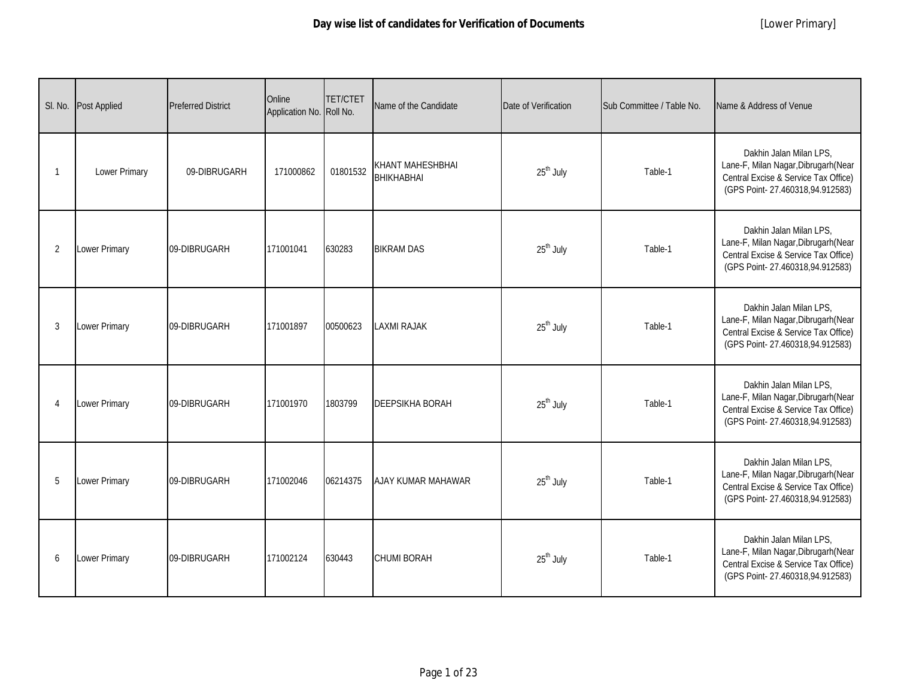| SI. No.        | <b>Post Applied</b>  | <b>Preferred District</b> | Online<br>Application No. Roll No. | <b>TET/CTET</b> | Name of the Candidate                 | Date of Verification  | Sub Committee / Table No. | Name & Address of Venue                                                                                                                    |
|----------------|----------------------|---------------------------|------------------------------------|-----------------|---------------------------------------|-----------------------|---------------------------|--------------------------------------------------------------------------------------------------------------------------------------------|
| -1             | Lower Primary        | 09-DIBRUGARH              | 171000862                          | 01801532        | KHANT MAHESHBHAI<br><b>ВНІКНАВНАІ</b> | 25 <sup>th</sup> July | Table-1                   | Dakhin Jalan Milan LPS.<br>Lane-F, Milan Nagar, Dibrugarh (Near<br>Central Excise & Service Tax Office)<br>(GPS Point-27.460318,94.912583) |
| 2              | <b>Lower Primary</b> | 09-DIBRUGARH              | 171001041                          | 630283          | <b>BIKRAM DAS</b>                     | 25 <sup>th</sup> July | Table-1                   | Dakhin Jalan Milan LPS,<br>Lane-F, Milan Nagar, Dibrugarh (Near<br>Central Excise & Service Tax Office)<br>(GPS Point-27.460318,94.912583) |
| 3              | Lower Primary        | 09-DIBRUGARH              | 171001897                          | 00500623        | <b>LAXMI RAJAK</b>                    | 25 <sup>th</sup> July | Table-1                   | Dakhin Jalan Milan LPS,<br>Lane-F, Milan Nagar, Dibrugarh (Near<br>Central Excise & Service Tax Office)<br>(GPS Point-27.460318,94.912583) |
| $\overline{4}$ | Lower Primary        | 09-DIBRUGARH              | 171001970                          | 1803799         | <b>DEEPSIKHA BORAH</b>                | 25 <sup>th</sup> July | Table-1                   | Dakhin Jalan Milan LPS,<br>Lane-F, Milan Nagar, Dibrugarh (Near<br>Central Excise & Service Tax Office)<br>(GPS Point-27.460318,94.912583) |
| 5              | Lower Primary        | 09-DIBRUGARH              | 171002046                          | 06214375        | AJAY KUMAR MAHAWAR                    | 25 <sup>th</sup> July | Table-1                   | Dakhin Jalan Milan LPS,<br>Lane-F, Milan Nagar, Dibrugarh (Near<br>Central Excise & Service Tax Office)<br>(GPS Point-27.460318,94.912583) |
| 6              | Lower Primary        | 09-DIBRUGARH              | 171002124                          | 630443          | <b>CHUMI BORAH</b>                    | 25 <sup>th</sup> July | Table-1                   | Dakhin Jalan Milan LPS,<br>Lane-F, Milan Nagar, Dibrugarh (Near<br>Central Excise & Service Tax Office)<br>(GPS Point-27.460318,94.912583) |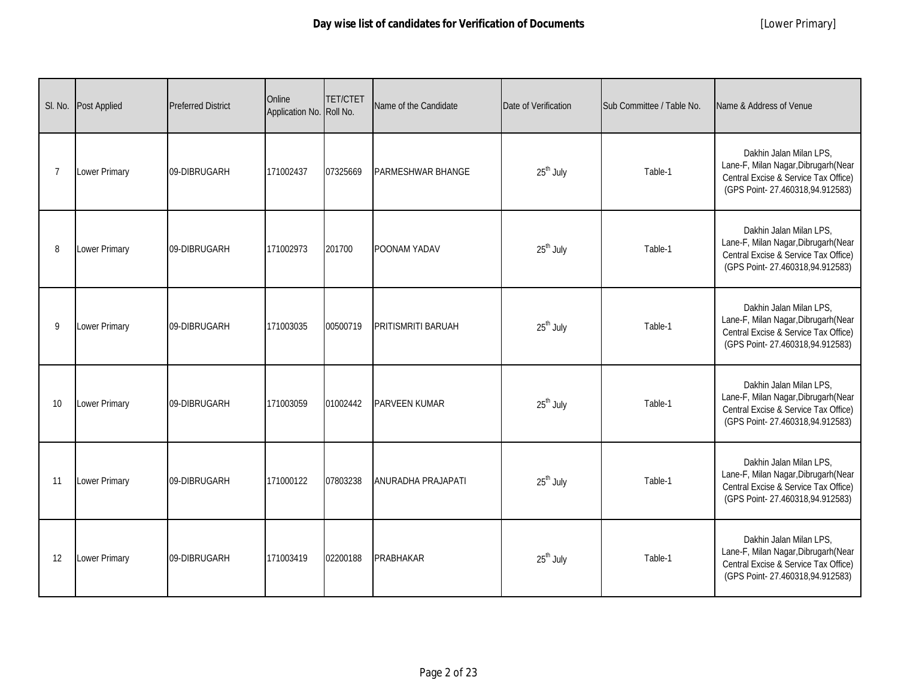| SI. No. | <b>Post Applied</b> | <b>Preferred District</b> | Online<br>Application No. Roll No. | <b>TET/CTET</b> | Name of the Candidate    | Date of Verification  | Sub Committee / Table No. | Name & Address of Venue                                                                                                                    |
|---------|---------------------|---------------------------|------------------------------------|-----------------|--------------------------|-----------------------|---------------------------|--------------------------------------------------------------------------------------------------------------------------------------------|
| 7       | Lower Primary       | 09-DIBRUGARH              | 171002437                          | 07325669        | <b>PARMESHWAR BHANGE</b> | 25 <sup>th</sup> July | Table-1                   | Dakhin Jalan Milan LPS.<br>Lane-F, Milan Nagar, Dibrugarh (Near<br>Central Excise & Service Tax Office)<br>(GPS Point-27.460318,94.912583) |
| 8       | Lower Primary       | 09-DIBRUGARH              | 171002973                          | 201700          | POONAM YADAV             | 25 <sup>th</sup> July | Table-1                   | Dakhin Jalan Milan LPS,<br>Lane-F, Milan Nagar, Dibrugarh (Near<br>Central Excise & Service Tax Office)<br>(GPS Point-27.460318,94.912583) |
| 9       | Lower Primary       | 09-DIBRUGARH              | 171003035                          | 00500719        | PRITISMRITI BARUAH       | 25 <sup>th</sup> July | Table-1                   | Dakhin Jalan Milan LPS,<br>Lane-F, Milan Nagar, Dibrugarh (Near<br>Central Excise & Service Tax Office)<br>(GPS Point-27.460318,94.912583) |
| 10      | Lower Primary       | 09-DIBRUGARH              | 171003059                          | 01002442        | PARVEEN KUMAR            | 25 <sup>th</sup> July | Table-1                   | Dakhin Jalan Milan LPS,<br>Lane-F, Milan Nagar, Dibrugarh (Near<br>Central Excise & Service Tax Office)<br>(GPS Point-27.460318,94.912583) |
| 11      | Lower Primary       | 09-DIBRUGARH              | 171000122                          | 07803238        | ANURADHA PRAJAPATI       | 25 <sup>th</sup> July | Table-1                   | Dakhin Jalan Milan LPS,<br>Lane-F, Milan Nagar, Dibrugarh (Near<br>Central Excise & Service Tax Office)<br>(GPS Point-27.460318,94.912583) |
| 12      | Lower Primary       | 09-DIBRUGARH              | 171003419                          | 02200188        | <b>PRABHAKAR</b>         | 25 <sup>th</sup> July | Table-1                   | Dakhin Jalan Milan LPS,<br>Lane-F, Milan Nagar, Dibrugarh (Near<br>Central Excise & Service Tax Office)<br>(GPS Point-27.460318,94.912583) |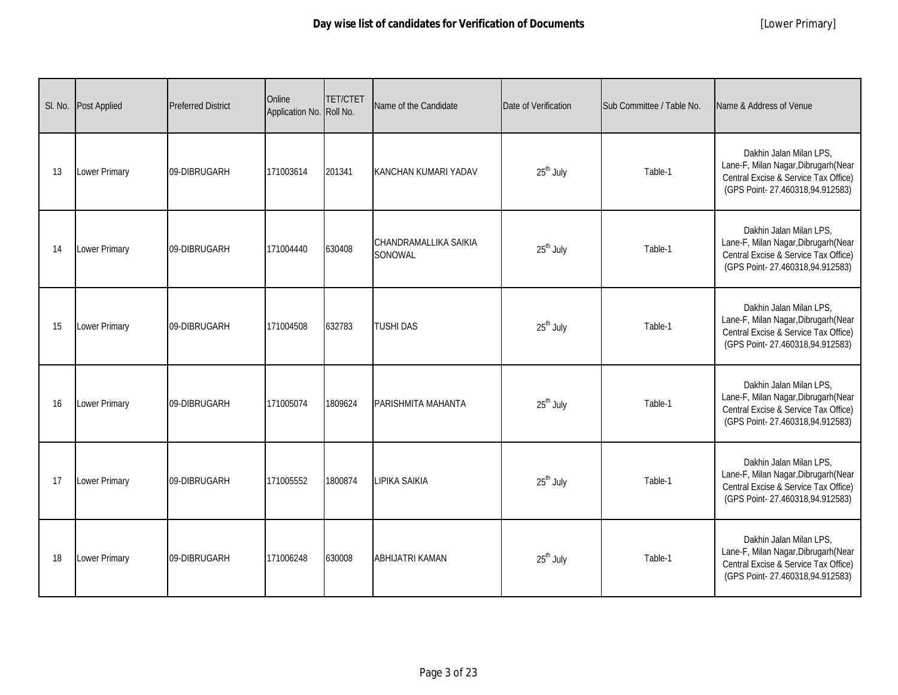| SI. No. | <b>Post Applied</b>  | <b>Preferred District</b> | Online<br>Application No. Roll No. | <b>TET/CTET</b> | Name of the Candidate            | Date of Verification  | Sub Committee / Table No. | Name & Address of Venue                                                                                                                    |
|---------|----------------------|---------------------------|------------------------------------|-----------------|----------------------------------|-----------------------|---------------------------|--------------------------------------------------------------------------------------------------------------------------------------------|
| 13      | Lower Primary        | 09-DIBRUGARH              | 171003614                          | 201341          | KANCHAN KUMARI YADAV             | 25 <sup>th</sup> July | Table-1                   | Dakhin Jalan Milan LPS.<br>Lane-F, Milan Nagar, Dibrugarh (Near<br>Central Excise & Service Tax Office)<br>(GPS Point-27.460318,94.912583) |
| 14      | <b>Lower Primary</b> | 09-DIBRUGARH              | 171004440                          | 630408          | CHANDRAMALLIKA SAIKIA<br>SONOWAL | 25 <sup>th</sup> July | Table-1                   | Dakhin Jalan Milan LPS,<br>Lane-F, Milan Nagar, Dibrugarh (Near<br>Central Excise & Service Tax Office)<br>(GPS Point-27.460318,94.912583) |
| 15      | Lower Primary        | 09-DIBRUGARH              | 171004508                          | 632783          | <b>TUSHI DAS</b>                 | 25 <sup>th</sup> July | Table-1                   | Dakhin Jalan Milan LPS,<br>Lane-F, Milan Nagar, Dibrugarh (Near<br>Central Excise & Service Tax Office)<br>(GPS Point-27.460318,94.912583) |
| 16      | Lower Primary        | 09-DIBRUGARH              | 171005074                          | 1809624         | PARISHMITA MAHANTA               | 25 <sup>th</sup> July | Table-1                   | Dakhin Jalan Milan LPS,<br>Lane-F, Milan Nagar, Dibrugarh (Near<br>Central Excise & Service Tax Office)<br>(GPS Point-27.460318,94.912583) |
| 17      | Lower Primary        | 09-DIBRUGARH              | 171005552                          | 1800874         | <b>LIPIKA SAIKIA</b>             | $25th$ July           | Table-1                   | Dakhin Jalan Milan LPS,<br>Lane-F, Milan Nagar, Dibrugarh (Near<br>Central Excise & Service Tax Office)<br>(GPS Point-27.460318,94.912583) |
| 18      | Lower Primary        | 09-DIBRUGARH              | 171006248                          | 630008          | <b>ABHIJATRI KAMAN</b>           | 25 <sup>th</sup> July | Table-1                   | Dakhin Jalan Milan LPS,<br>Lane-F, Milan Nagar, Dibrugarh (Near<br>Central Excise & Service Tax Office)<br>(GPS Point-27.460318,94.912583) |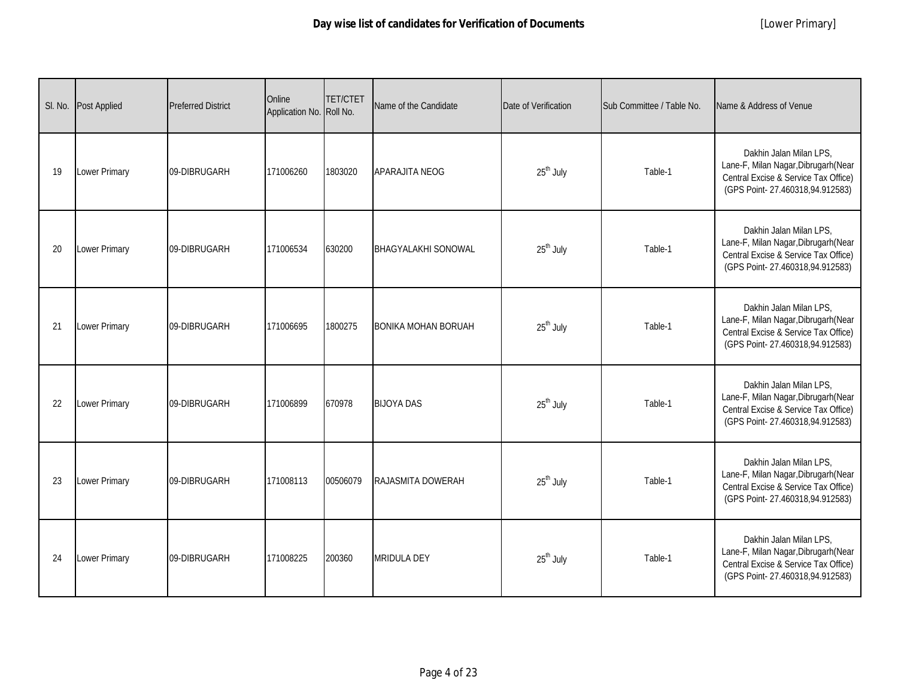| SI. No. | <b>Post Applied</b> | <b>Preferred District</b> | Online<br>Application No. Roll No. | <b>TET/CTET</b> | Name of the Candidate      | Date of Verification  | Sub Committee / Table No. | Name & Address of Venue                                                                                                                    |
|---------|---------------------|---------------------------|------------------------------------|-----------------|----------------------------|-----------------------|---------------------------|--------------------------------------------------------------------------------------------------------------------------------------------|
| 19      | Lower Primary       | 09-DIBRUGARH              | 171006260                          | 1803020         | APARAJITA NEOG             | 25 <sup>th</sup> July | Table-1                   | Dakhin Jalan Milan LPS.<br>Lane-F, Milan Nagar, Dibrugarh (Near<br>Central Excise & Service Tax Office)<br>(GPS Point-27.460318,94.912583) |
| 20      | Lower Primary       | 09-DIBRUGARH              | 171006534                          | 630200          | <b>BHAGYALAKHI SONOWAL</b> | 25 <sup>th</sup> July | Table-1                   | Dakhin Jalan Milan LPS,<br>Lane-F, Milan Nagar, Dibrugarh (Near<br>Central Excise & Service Tax Office)<br>(GPS Point-27.460318,94.912583) |
| 21      | Lower Primary       | 09-DIBRUGARH              | 171006695                          | 1800275         | <b>BONIKA MOHAN BORUAH</b> | 25 <sup>th</sup> July | Table-1                   | Dakhin Jalan Milan LPS,<br>Lane-F, Milan Nagar, Dibrugarh (Near<br>Central Excise & Service Tax Office)<br>(GPS Point-27.460318,94.912583) |
| 22      | Lower Primary       | 09-DIBRUGARH              | 171006899                          | 670978          | <b>BIJOYA DAS</b>          | 25 <sup>th</sup> July | Table-1                   | Dakhin Jalan Milan LPS,<br>Lane-F, Milan Nagar, Dibrugarh (Near<br>Central Excise & Service Tax Office)<br>(GPS Point-27.460318,94.912583) |
| 23      | Lower Primary       | 09-DIBRUGARH              | 171008113                          | 00506079        | <b>RAJASMITA DOWERAH</b>   | 25 <sup>th</sup> July | Table-1                   | Dakhin Jalan Milan LPS,<br>Lane-F, Milan Nagar, Dibrugarh (Near<br>Central Excise & Service Tax Office)<br>(GPS Point-27.460318,94.912583) |
| 24      | Lower Primary       | 09-DIBRUGARH              | 171008225                          | 200360          | <b>MRIDULA DEY</b>         | 25 <sup>th</sup> July | Table-1                   | Dakhin Jalan Milan LPS,<br>Lane-F, Milan Nagar, Dibrugarh (Near<br>Central Excise & Service Tax Office)<br>(GPS Point-27.460318,94.912583) |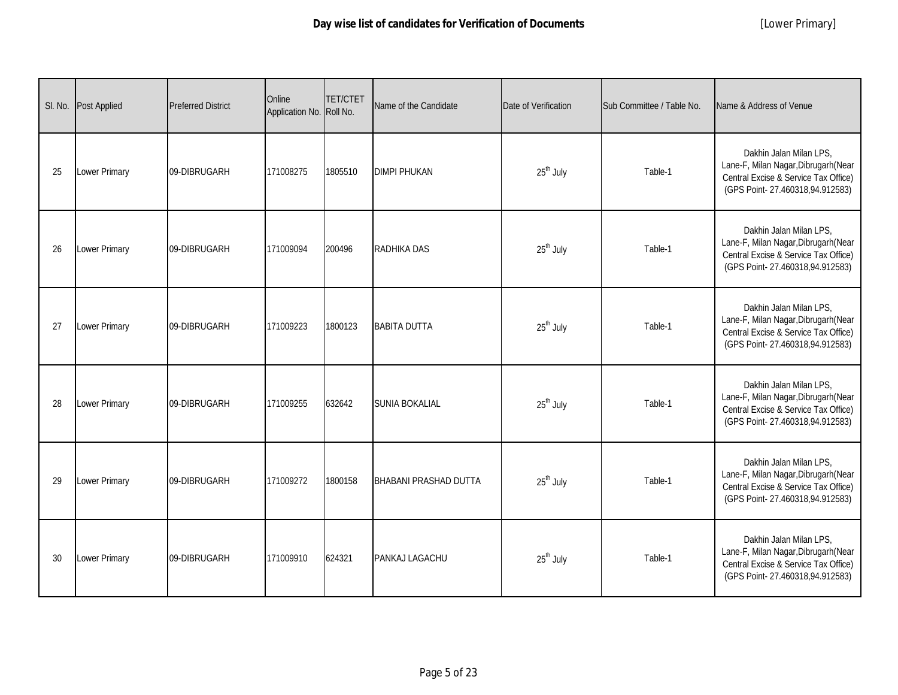| SI. No. | <b>Post Applied</b> | <b>Preferred District</b> | Online<br>Application No. Roll No. | <b>TET/CTET</b> | Name of the Candidate        | Date of Verification  | Sub Committee / Table No. | Name & Address of Venue                                                                                                                    |
|---------|---------------------|---------------------------|------------------------------------|-----------------|------------------------------|-----------------------|---------------------------|--------------------------------------------------------------------------------------------------------------------------------------------|
| 25      | Lower Primary       | 09-DIBRUGARH              | 171008275                          | 1805510         | <b>DIMPI PHUKAN</b>          | 25 <sup>th</sup> July | Table-1                   | Dakhin Jalan Milan LPS.<br>Lane-F, Milan Nagar, Dibrugarh (Near<br>Central Excise & Service Tax Office)<br>(GPS Point-27.460318,94.912583) |
| 26      | Lower Primary       | 09-DIBRUGARH              | 171009094                          | 200496          | <b>RADHIKA DAS</b>           | 25 <sup>th</sup> July | Table-1                   | Dakhin Jalan Milan LPS,<br>Lane-F, Milan Nagar, Dibrugarh (Near<br>Central Excise & Service Tax Office)<br>(GPS Point-27.460318,94.912583) |
| 27      | Lower Primary       | 09-DIBRUGARH              | 171009223                          | 1800123         | <b>BABITA DUTTA</b>          | 25 <sup>th</sup> July | Table-1                   | Dakhin Jalan Milan LPS,<br>Lane-F, Milan Nagar, Dibrugarh (Near<br>Central Excise & Service Tax Office)<br>(GPS Point-27.460318,94.912583) |
| 28      | Lower Primary       | 09-DIBRUGARH              | 171009255                          | 632642          | <b>SUNIA BOKALIAL</b>        | 25 <sup>th</sup> July | Table-1                   | Dakhin Jalan Milan LPS,<br>Lane-F, Milan Nagar, Dibrugarh (Near<br>Central Excise & Service Tax Office)<br>(GPS Point-27.460318,94.912583) |
| 29      | Lower Primary       | 09-DIBRUGARH              | 171009272                          | 1800158         | <b>BHABANI PRASHAD DUTTA</b> | $25th$ July           | Table-1                   | Dakhin Jalan Milan LPS,<br>Lane-F, Milan Nagar, Dibrugarh (Near<br>Central Excise & Service Tax Office)<br>(GPS Point-27.460318,94.912583) |
| 30      | Lower Primary       | 09-DIBRUGARH              | 171009910                          | 624321          | PANKAJ LAGACHU               | 25 <sup>th</sup> July | Table-1                   | Dakhin Jalan Milan LPS,<br>Lane-F, Milan Nagar, Dibrugarh (Near<br>Central Excise & Service Tax Office)<br>(GPS Point-27.460318,94.912583) |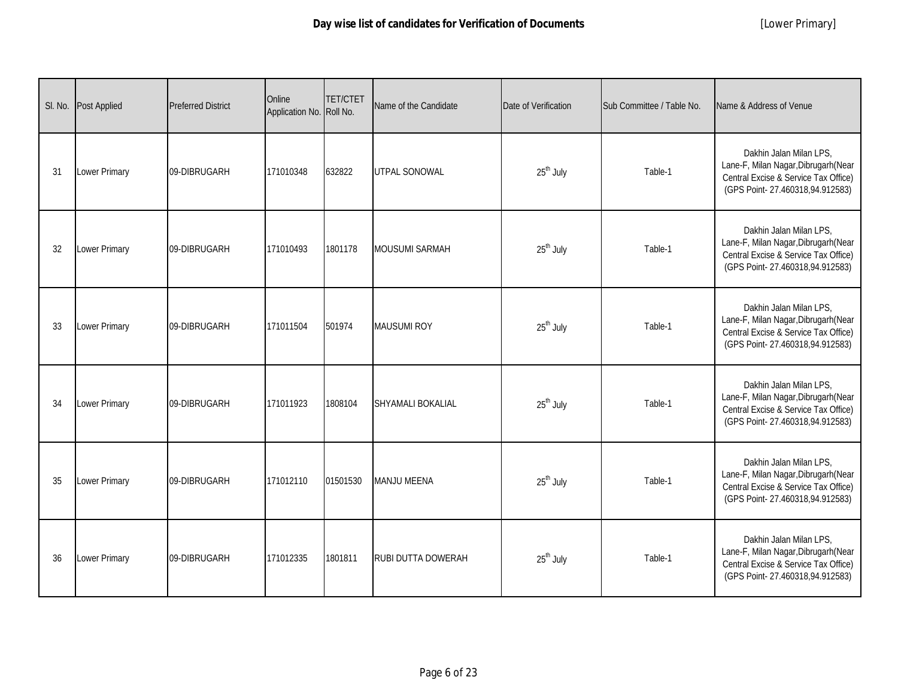| SI. No. | Post Applied         | <b>Preferred District</b> | Online<br>Application No. Roll No. | <b>TET/CTET</b> | Name of the Candidate     | Date of Verification  | Sub Committee / Table No. | Name & Address of Venue                                                                                                                    |
|---------|----------------------|---------------------------|------------------------------------|-----------------|---------------------------|-----------------------|---------------------------|--------------------------------------------------------------------------------------------------------------------------------------------|
| 31      | Lower Primary        | 09-DIBRUGARH              | 171010348                          | 632822          | <b>UTPAL SONOWAL</b>      | 25 <sup>th</sup> July | Table-1                   | Dakhin Jalan Milan LPS.<br>Lane-F, Milan Nagar, Dibrugarh (Near<br>Central Excise & Service Tax Office)<br>(GPS Point-27.460318,94.912583) |
| 32      | Lower Primary        | 09-DIBRUGARH              | 171010493                          | 1801178         | <b>MOUSUMI SARMAH</b>     | 25 <sup>th</sup> July | Table-1                   | Dakhin Jalan Milan LPS,<br>Lane-F, Milan Nagar, Dibrugarh (Near<br>Central Excise & Service Tax Office)<br>(GPS Point-27.460318,94.912583) |
| 33      | <b>Lower Primary</b> | 09-DIBRUGARH              | 171011504                          | 501974          | <b>MAUSUMI ROY</b>        | 25 <sup>th</sup> July | Table-1                   | Dakhin Jalan Milan LPS,<br>Lane-F, Milan Nagar, Dibrugarh (Near<br>Central Excise & Service Tax Office)<br>(GPS Point-27.460318,94.912583) |
| 34      | Lower Primary        | 09-DIBRUGARH              | 171011923                          | 1808104         | SHYAMALI BOKALIAL         | 25 <sup>th</sup> July | Table-1                   | Dakhin Jalan Milan LPS,<br>Lane-F, Milan Nagar, Dibrugarh (Near<br>Central Excise & Service Tax Office)<br>(GPS Point-27.460318,94.912583) |
| 35      | Lower Primary        | 09-DIBRUGARH              | 171012110                          | 01501530        | <b>MANJU MEENA</b>        | 25 <sup>th</sup> July | Table-1                   | Dakhin Jalan Milan LPS,<br>Lane-F, Milan Nagar, Dibrugarh (Near<br>Central Excise & Service Tax Office)<br>(GPS Point-27.460318,94.912583) |
| 36      | Lower Primary        | 09-DIBRUGARH              | 171012335                          | 1801811         | <b>RUBI DUTTA DOWERAH</b> | 25 <sup>th</sup> July | Table-1                   | Dakhin Jalan Milan LPS,<br>Lane-F, Milan Nagar, Dibrugarh (Near<br>Central Excise & Service Tax Office)<br>(GPS Point-27.460318,94.912583) |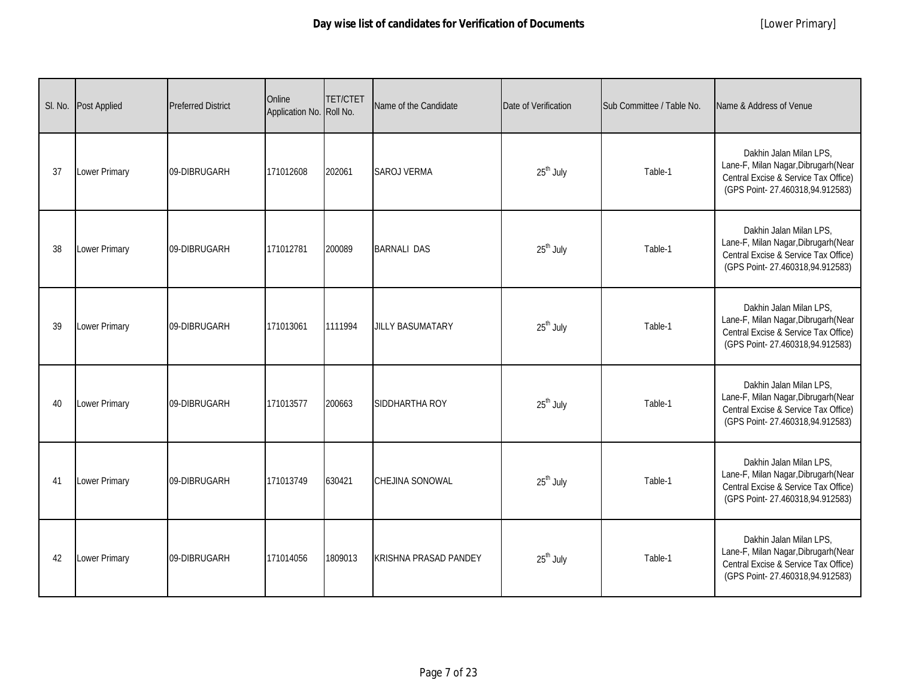|    | SI. No. Post Applied | <b>Preferred District</b> | Online<br>Application No. Roll No. | <b>TET/CTET</b> | Name of the Candidate        | Date of Verification  | Sub Committee / Table No. | Name & Address of Venue                                                                                                                    |
|----|----------------------|---------------------------|------------------------------------|-----------------|------------------------------|-----------------------|---------------------------|--------------------------------------------------------------------------------------------------------------------------------------------|
| 37 | Lower Primary        | 09-DIBRUGARH              | 171012608                          | 202061          | <b>SAROJ VERMA</b>           | 25 <sup>th</sup> July | Table-1                   | Dakhin Jalan Milan LPS,<br>Lane-F, Milan Nagar, Dibrugarh (Near<br>Central Excise & Service Tax Office)<br>(GPS Point-27.460318,94.912583) |
| 38 | Lower Primary        | 09-DIBRUGARH              | 171012781                          | 200089          | <b>BARNALI DAS</b>           | 25 <sup>th</sup> July | Table-1                   | Dakhin Jalan Milan LPS,<br>Lane-F, Milan Nagar, Dibrugarh (Near<br>Central Excise & Service Tax Office)<br>(GPS Point-27.460318,94.912583) |
| 39 | Lower Primary        | 09-DIBRUGARH              | 171013061                          | 1111994         | <b>JILLY BASUMATARY</b>      | 25 <sup>th</sup> July | Table-1                   | Dakhin Jalan Milan LPS,<br>Lane-F, Milan Nagar, Dibrugarh (Near<br>Central Excise & Service Tax Office)<br>(GPS Point-27.460318,94.912583) |
| 40 | <b>Lower Primary</b> | 09-DIBRUGARH              | 171013577                          | 200663          | SIDDHARTHA ROY               | 25 <sup>th</sup> July | Table-1                   | Dakhin Jalan Milan LPS,<br>Lane-F, Milan Nagar, Dibrugarh (Near<br>Central Excise & Service Tax Office)<br>(GPS Point-27.460318,94.912583) |
| 41 | Lower Primary        | 09-DIBRUGARH              | 171013749                          | 630421          | CHEJINA SONOWAL              | 25 <sup>th</sup> July | Table-1                   | Dakhin Jalan Milan LPS,<br>Lane-F, Milan Nagar, Dibrugarh (Near<br>Central Excise & Service Tax Office)<br>(GPS Point-27.460318,94.912583) |
| 42 | Lower Primary        | 09-DIBRUGARH              | 171014056                          | 1809013         | <b>KRISHNA PRASAD PANDEY</b> | 25 <sup>th</sup> July | Table-1                   | Dakhin Jalan Milan LPS,<br>Lane-F, Milan Nagar, Dibrugarh (Near<br>Central Excise & Service Tax Office)<br>(GPS Point-27.460318,94.912583) |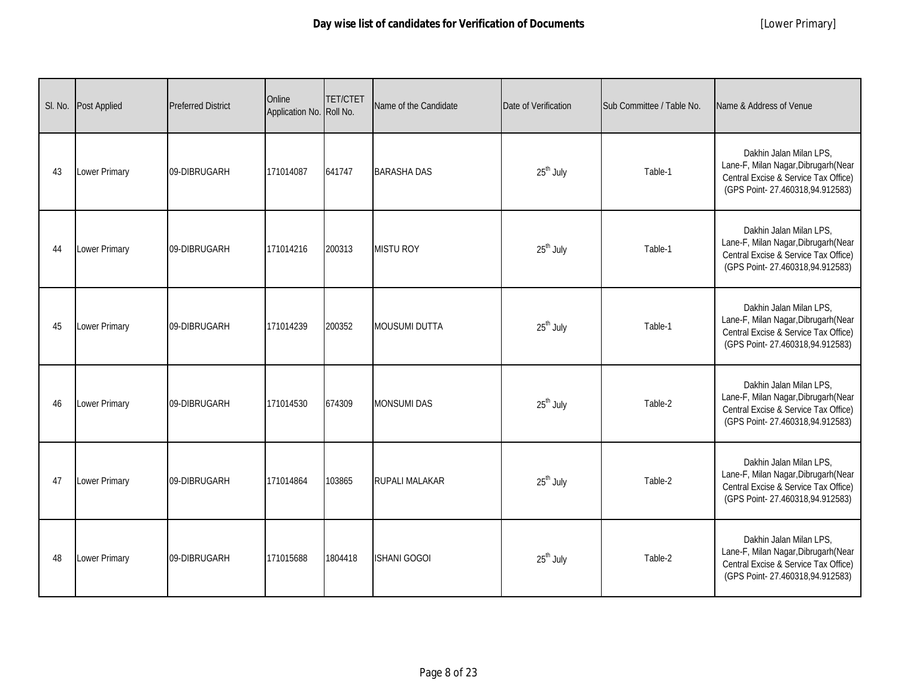|    | SI. No. Post Applied | <b>Preferred District</b> | Online<br>Application No. Roll No. | <b>TET/CTET</b> | Name of the Candidate | Date of Verification  | Sub Committee / Table No. | Name & Address of Venue                                                                                                                    |
|----|----------------------|---------------------------|------------------------------------|-----------------|-----------------------|-----------------------|---------------------------|--------------------------------------------------------------------------------------------------------------------------------------------|
| 43 | Lower Primary        | 09-DIBRUGARH              | 171014087                          | 641747          | <b>BARASHA DAS</b>    | 25 <sup>th</sup> July | Table-1                   | Dakhin Jalan Milan LPS.<br>Lane-F, Milan Nagar, Dibrugarh (Near<br>Central Excise & Service Tax Office)<br>(GPS Point-27.460318,94.912583) |
| 44 | Lower Primary        | 09-DIBRUGARH              | 171014216                          | 200313          | <b>MISTU ROY</b>      | 25 <sup>th</sup> July | Table-1                   | Dakhin Jalan Milan LPS,<br>Lane-F, Milan Nagar, Dibrugarh (Near<br>Central Excise & Service Tax Office)<br>(GPS Point-27.460318,94.912583) |
| 45 | Lower Primary        | 09-DIBRUGARH              | 171014239                          | 200352          | <b>MOUSUMI DUTTA</b>  | 25 <sup>th</sup> July | Table-1                   | Dakhin Jalan Milan LPS,<br>Lane-F, Milan Nagar, Dibrugarh (Near<br>Central Excise & Service Tax Office)<br>(GPS Point-27.460318,94.912583) |
| 46 | Lower Primary        | 09-DIBRUGARH              | 171014530                          | 674309          | <b>MONSUMI DAS</b>    | 25 <sup>th</sup> July | Table-2                   | Dakhin Jalan Milan LPS,<br>Lane-F, Milan Nagar, Dibrugarh (Near<br>Central Excise & Service Tax Office)<br>(GPS Point-27.460318,94.912583) |
| 47 | <b>Lower Primary</b> | 09-DIBRUGARH              | 171014864                          | 103865          | <b>RUPALI MALAKAR</b> | 25 <sup>th</sup> July | Table-2                   | Dakhin Jalan Milan LPS,<br>Lane-F, Milan Nagar, Dibrugarh (Near<br>Central Excise & Service Tax Office)<br>(GPS Point-27.460318,94.912583) |
| 48 | Lower Primary        | 09-DIBRUGARH              | 171015688                          | 1804418         | <b>ISHANI GOGOI</b>   | 25 <sup>th</sup> July | Table-2                   | Dakhin Jalan Milan LPS,<br>Lane-F, Milan Nagar, Dibrugarh (Near<br>Central Excise & Service Tax Office)<br>(GPS Point-27.460318,94.912583) |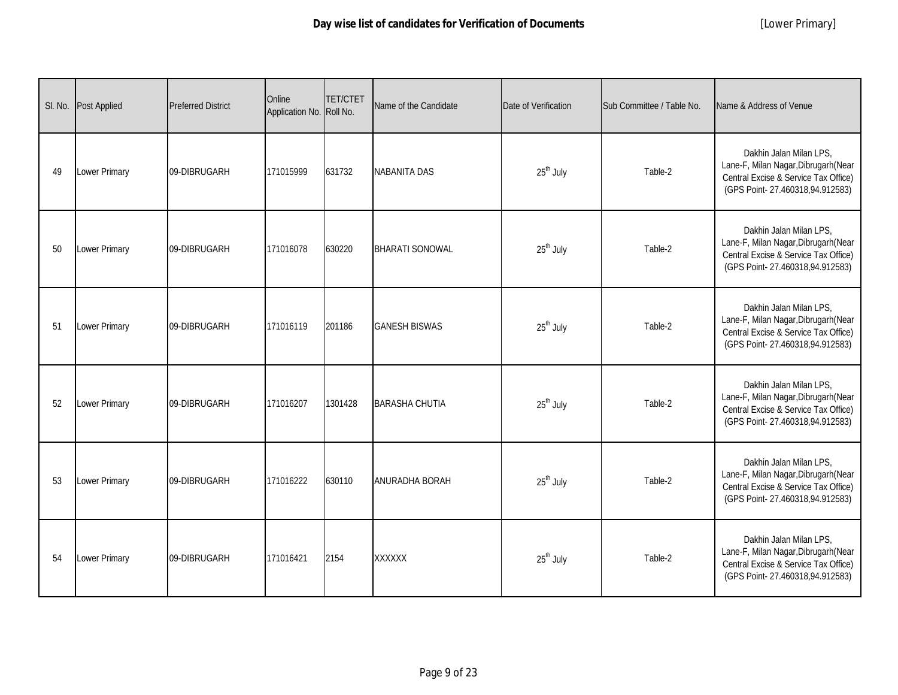| SI. No. | <b>Post Applied</b>  | <b>Preferred District</b> | Online<br>Application No. Roll No. | <b>TET/CTET</b> | Name of the Candidate  | Date of Verification  | Sub Committee / Table No. | Name & Address of Venue                                                                                                                    |
|---------|----------------------|---------------------------|------------------------------------|-----------------|------------------------|-----------------------|---------------------------|--------------------------------------------------------------------------------------------------------------------------------------------|
| 49      | Lower Primary        | 09-DIBRUGARH              | 171015999                          | 631732          | <b>NABANITA DAS</b>    | 25 <sup>th</sup> July | Table-2                   | Dakhin Jalan Milan LPS.<br>Lane-F, Milan Nagar, Dibrugarh (Near<br>Central Excise & Service Tax Office)<br>(GPS Point-27.460318,94.912583) |
| 50      | <b>Lower Primary</b> | 09-DIBRUGARH              | 171016078                          | 630220          | <b>BHARATI SONOWAL</b> | 25 <sup>th</sup> July | Table-2                   | Dakhin Jalan Milan LPS,<br>Lane-F, Milan Nagar, Dibrugarh (Near<br>Central Excise & Service Tax Office)<br>(GPS Point-27.460318,94.912583) |
| 51      | Lower Primary        | 09-DIBRUGARH              | 171016119                          | 201186          | <b>GANESH BISWAS</b>   | 25 <sup>th</sup> July | Table-2                   | Dakhin Jalan Milan LPS,<br>Lane-F, Milan Nagar, Dibrugarh (Near<br>Central Excise & Service Tax Office)<br>(GPS Point-27.460318,94.912583) |
| 52      | Lower Primary        | 09-DIBRUGARH              | 171016207                          | 1301428         | <b>BARASHA CHUTIA</b>  | 25 <sup>th</sup> July | Table-2                   | Dakhin Jalan Milan LPS,<br>Lane-F, Milan Nagar, Dibrugarh (Near<br>Central Excise & Service Tax Office)<br>(GPS Point-27.460318,94.912583) |
| 53      | Lower Primary        | 09-DIBRUGARH              | 171016222                          | 630110          | <b>ANURADHA BORAH</b>  | $25th$ July           | Table-2                   | Dakhin Jalan Milan LPS,<br>Lane-F, Milan Nagar, Dibrugarh (Near<br>Central Excise & Service Tax Office)<br>(GPS Point-27.460318,94.912583) |
| 54      | Lower Primary        | 09-DIBRUGARH              | 171016421                          | 2154            | XXXXXX                 | 25 <sup>th</sup> July | Table-2                   | Dakhin Jalan Milan LPS,<br>Lane-F, Milan Nagar, Dibrugarh (Near<br>Central Excise & Service Tax Office)<br>(GPS Point-27.460318,94.912583) |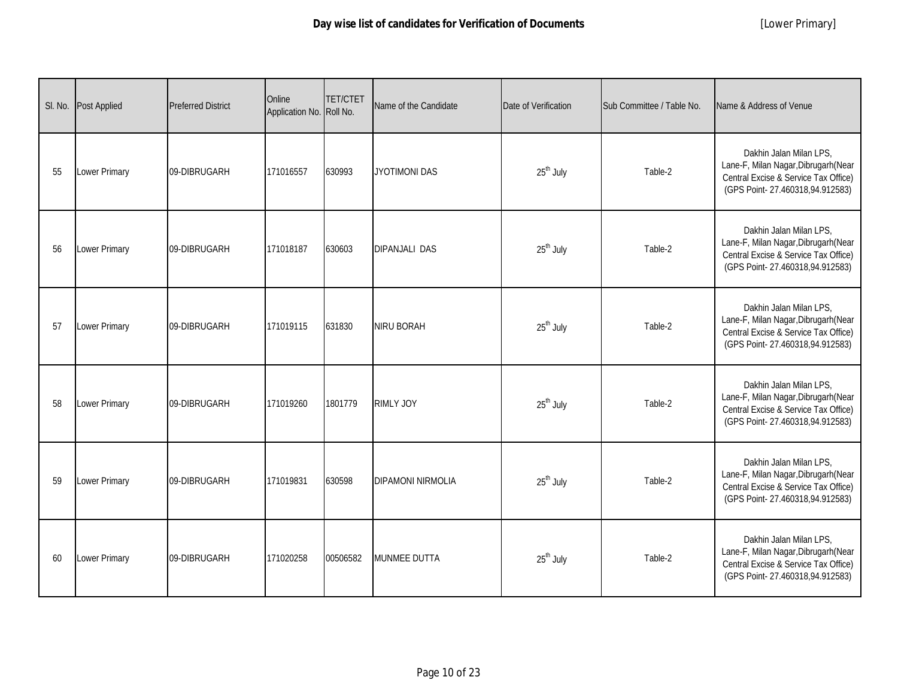| SI. No. | <b>Post Applied</b> | <b>Preferred District</b> | Online<br>Application No. Roll No. | <b>TET/CTET</b> | Name of the Candidate    | Date of Verification  | Sub Committee / Table No. | Name & Address of Venue                                                                                                                    |
|---------|---------------------|---------------------------|------------------------------------|-----------------|--------------------------|-----------------------|---------------------------|--------------------------------------------------------------------------------------------------------------------------------------------|
| 55      | Lower Primary       | 09-DIBRUGARH              | 171016557                          | 630993          | <b>JYOTIMONI DAS</b>     | 25 <sup>th</sup> July | Table-2                   | Dakhin Jalan Milan LPS,<br>Lane-F, Milan Nagar, Dibrugarh (Near<br>Central Excise & Service Tax Office)<br>(GPS Point-27.460318,94.912583) |
| 56      | Lower Primary       | 09-DIBRUGARH              | 171018187                          | 630603          | <b>DIPANJALI DAS</b>     | 25 <sup>th</sup> July | Table-2                   | Dakhin Jalan Milan LPS,<br>Lane-F, Milan Nagar, Dibrugarh (Near<br>Central Excise & Service Tax Office)<br>(GPS Point-27.460318,94.912583) |
| 57      | Lower Primary       | 09-DIBRUGARH              | 171019115                          | 631830          | <b>NIRU BORAH</b>        | 25 <sup>th</sup> July | Table-2                   | Dakhin Jalan Milan LPS,<br>Lane-F, Milan Nagar, Dibrugarh (Near<br>Central Excise & Service Tax Office)<br>(GPS Point-27.460318,94.912583) |
| 58      | Lower Primary       | 09-DIBRUGARH              | 171019260                          | 1801779         | RIMLY JOY                | 25 <sup>th</sup> July | Table-2                   | Dakhin Jalan Milan LPS,<br>Lane-F, Milan Nagar, Dibrugarh (Near<br>Central Excise & Service Tax Office)<br>(GPS Point-27.460318,94.912583) |
| 59      | Lower Primary       | 09-DIBRUGARH              | 171019831                          | 630598          | <b>DIPAMONI NIRMOLIA</b> | 25 <sup>th</sup> July | Table-2                   | Dakhin Jalan Milan LPS,<br>Lane-F, Milan Nagar, Dibrugarh (Near<br>Central Excise & Service Tax Office)<br>(GPS Point-27.460318,94.912583) |
| 60      | Lower Primary       | 09-DIBRUGARH              | 171020258                          | 00506582        | <b>MUNMEE DUTTA</b>      | 25 <sup>th</sup> July | Table-2                   | Dakhin Jalan Milan LPS,<br>Lane-F, Milan Nagar, Dibrugarh (Near<br>Central Excise & Service Tax Office)<br>(GPS Point-27.460318,94.912583) |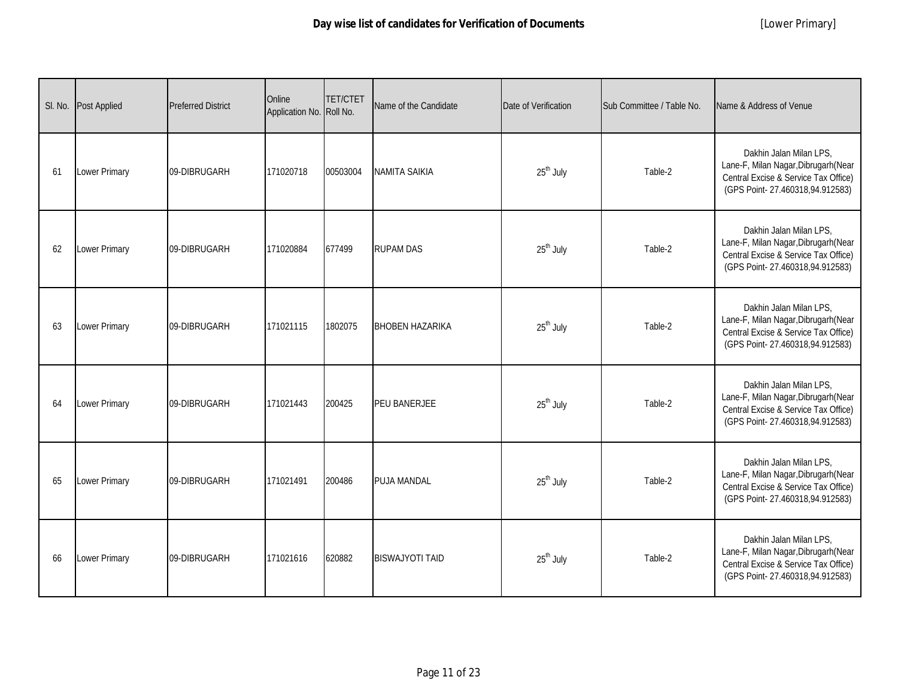| SI. No. | Post Applied         | <b>Preferred District</b> | Online<br>Application No. Roll No. | <b>TET/CTET</b> | Name of the Candidate  | Date of Verification  | Sub Committee / Table No. | Name & Address of Venue                                                                                                                    |
|---------|----------------------|---------------------------|------------------------------------|-----------------|------------------------|-----------------------|---------------------------|--------------------------------------------------------------------------------------------------------------------------------------------|
| 61      | Lower Primary        | 09-DIBRUGARH              | 171020718                          | 00503004        | <b>NAMITA SAIKIA</b>   | 25 <sup>th</sup> July | Table-2                   | Dakhin Jalan Milan LPS.<br>Lane-F, Milan Nagar, Dibrugarh (Near<br>Central Excise & Service Tax Office)<br>(GPS Point-27.460318,94.912583) |
| 62      | Lower Primary        | 09-DIBRUGARH              | 171020884                          | 677499          | <b>RUPAM DAS</b>       | 25 <sup>th</sup> July | Table-2                   | Dakhin Jalan Milan LPS,<br>Lane-F, Milan Nagar, Dibrugarh (Near<br>Central Excise & Service Tax Office)<br>(GPS Point-27.460318,94.912583) |
| 63      | <b>Lower Primary</b> | 09-DIBRUGARH              | 171021115                          | 1802075         | <b>BHOBEN HAZARIKA</b> | 25 <sup>th</sup> July | Table-2                   | Dakhin Jalan Milan LPS,<br>Lane-F, Milan Nagar, Dibrugarh (Near<br>Central Excise & Service Tax Office)<br>(GPS Point-27.460318,94.912583) |
| 64      | Lower Primary        | 09-DIBRUGARH              | 171021443                          | 200425          | PEU BANERJEE           | 25 <sup>th</sup> July | Table-2                   | Dakhin Jalan Milan LPS,<br>Lane-F, Milan Nagar, Dibrugarh (Near<br>Central Excise & Service Tax Office)<br>(GPS Point-27.460318,94.912583) |
| 65      | Lower Primary        | 09-DIBRUGARH              | 171021491                          | 200486          | PUJA MANDAL            | 25 <sup>th</sup> July | Table-2                   | Dakhin Jalan Milan LPS,<br>Lane-F, Milan Nagar, Dibrugarh (Near<br>Central Excise & Service Tax Office)<br>(GPS Point-27.460318,94.912583) |
| 66      | Lower Primary        | 09-DIBRUGARH              | 171021616                          | 620882          | <b>BISWAJYOTI TAID</b> | $25th$ July           | Table-2                   | Dakhin Jalan Milan LPS,<br>Lane-F, Milan Nagar, Dibrugarh (Near<br>Central Excise & Service Tax Office)<br>(GPS Point-27.460318,94.912583) |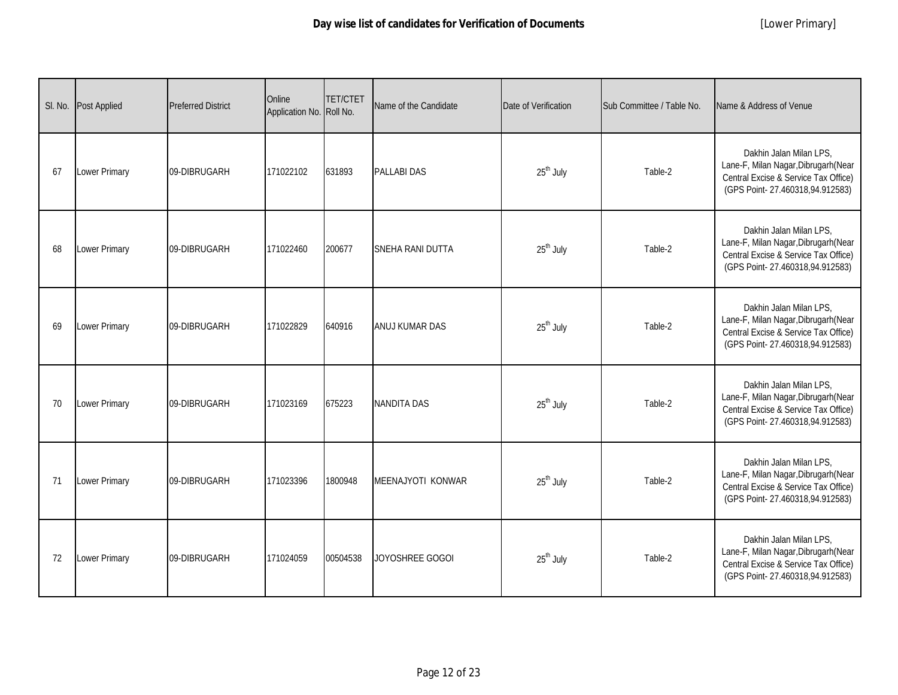|    | SI. No. Post Applied | <b>Preferred District</b> | Online<br>Application No. Roll No. | <b>TET/CTET</b> | Name of the Candidate    | Date of Verification  | Sub Committee / Table No. | Name & Address of Venue                                                                                                                    |
|----|----------------------|---------------------------|------------------------------------|-----------------|--------------------------|-----------------------|---------------------------|--------------------------------------------------------------------------------------------------------------------------------------------|
| 67 | Lower Primary        | 09-DIBRUGARH              | 171022102                          | 631893          | <b>PALLABI DAS</b>       | 25 <sup>th</sup> July | Table-2                   | Dakhin Jalan Milan LPS.<br>Lane-F, Milan Nagar, Dibrugarh (Near<br>Central Excise & Service Tax Office)<br>(GPS Point-27.460318,94.912583) |
| 68 | Lower Primary        | 09-DIBRUGARH              | 171022460                          | 200677          | SNEHA RANI DUTTA         | 25 <sup>th</sup> July | Table-2                   | Dakhin Jalan Milan LPS,<br>Lane-F, Milan Nagar, Dibrugarh (Near<br>Central Excise & Service Tax Office)<br>(GPS Point-27.460318,94.912583) |
| 69 | Lower Primary        | 09-DIBRUGARH              | 171022829                          | 640916          | ANUJ KUMAR DAS           | 25 <sup>th</sup> July | Table-2                   | Dakhin Jalan Milan LPS,<br>Lane-F, Milan Nagar, Dibrugarh (Near<br>Central Excise & Service Tax Office)<br>(GPS Point-27.460318,94.912583) |
| 70 | Lower Primary        | 09-DIBRUGARH              | 171023169                          | 675223          | <b>NANDITA DAS</b>       | 25 <sup>th</sup> July | Table-2                   | Dakhin Jalan Milan LPS,<br>Lane-F, Milan Nagar, Dibrugarh (Near<br>Central Excise & Service Tax Office)<br>(GPS Point-27.460318,94.912583) |
| 71 | Lower Primary        | 09-DIBRUGARH              | 171023396                          | 1800948         | <b>MEENAJYOTI KONWAR</b> | 25 <sup>th</sup> July | Table-2                   | Dakhin Jalan Milan LPS,<br>Lane-F, Milan Nagar, Dibrugarh (Near<br>Central Excise & Service Tax Office)<br>(GPS Point-27.460318,94.912583) |
| 72 | Lower Primary        | 09-DIBRUGARH              | 171024059                          | 00504538        | JOYOSHREE GOGOI          | 25 <sup>th</sup> July | Table-2                   | Dakhin Jalan Milan LPS,<br>Lane-F, Milan Nagar, Dibrugarh (Near<br>Central Excise & Service Tax Office)<br>(GPS Point-27.460318,94.912583) |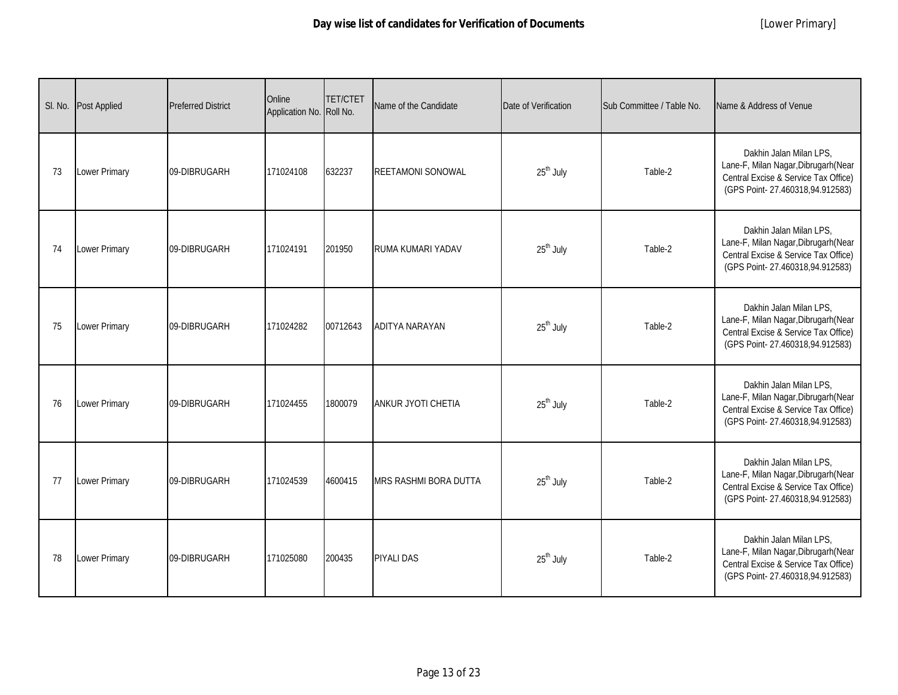| SI. No. | <b>Post Applied</b> | <b>Preferred District</b> | Online<br>Application No. Roll No. | <b>TET/CTET</b> | Name of the Candidate    | Date of Verification  | Sub Committee / Table No. | Name & Address of Venue                                                                                                                    |
|---------|---------------------|---------------------------|------------------------------------|-----------------|--------------------------|-----------------------|---------------------------|--------------------------------------------------------------------------------------------------------------------------------------------|
| 73      | Lower Primary       | 09-DIBRUGARH              | 171024108                          | 632237          | <b>REETAMONI SONOWAL</b> | 25 <sup>th</sup> July | Table-2                   | Dakhin Jalan Milan LPS.<br>Lane-F, Milan Nagar, Dibrugarh (Near<br>Central Excise & Service Tax Office)<br>(GPS Point-27.460318,94.912583) |
| 74      | Lower Primary       | 09-DIBRUGARH              | 171024191                          | 201950          | RUMA KUMARI YADAV        | 25 <sup>th</sup> July | Table-2                   | Dakhin Jalan Milan LPS,<br>Lane-F, Milan Nagar, Dibrugarh (Near<br>Central Excise & Service Tax Office)<br>(GPS Point-27.460318,94.912583) |
| 75      | Lower Primary       | 09-DIBRUGARH              | 171024282                          | 00712643        | <b>ADITYA NARAYAN</b>    | 25 <sup>th</sup> July | Table-2                   | Dakhin Jalan Milan LPS,<br>Lane-F, Milan Nagar, Dibrugarh (Near<br>Central Excise & Service Tax Office)<br>(GPS Point-27.460318,94.912583) |
| 76      | Lower Primary       | 09-DIBRUGARH              | 171024455                          | 1800079         | ANKUR JYOTI CHETIA       | 25 <sup>th</sup> July | Table-2                   | Dakhin Jalan Milan LPS,<br>Lane-F, Milan Nagar, Dibrugarh (Near<br>Central Excise & Service Tax Office)<br>(GPS Point-27.460318,94.912583) |
| 77      | Lower Primary       | 09-DIBRUGARH              | 171024539                          | 4600415         | MRS RASHMI BORA DUTTA    | $25th$ July           | Table-2                   | Dakhin Jalan Milan LPS,<br>Lane-F, Milan Nagar, Dibrugarh (Near<br>Central Excise & Service Tax Office)<br>(GPS Point-27.460318,94.912583) |
| 78      | Lower Primary       | 09-DIBRUGARH              | 171025080                          | 200435          | <b>PIYALI DAS</b>        | 25 <sup>th</sup> July | Table-2                   | Dakhin Jalan Milan LPS,<br>Lane-F, Milan Nagar, Dibrugarh (Near<br>Central Excise & Service Tax Office)<br>(GPS Point-27.460318,94.912583) |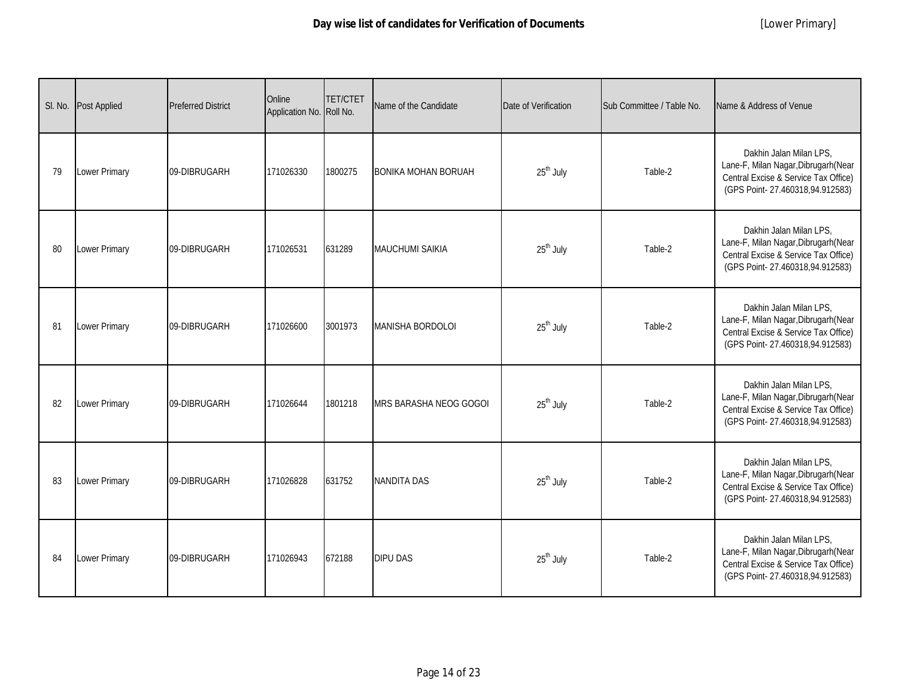|    | SI. No. Post Applied | <b>Preferred District</b> | Online<br>Application No. Roll No. | <b>TET/CTET</b> | Name of the Candidate         | Date of Verification  | Sub Committee / Table No. | Name & Address of Venue                                                                                                                    |
|----|----------------------|---------------------------|------------------------------------|-----------------|-------------------------------|-----------------------|---------------------------|--------------------------------------------------------------------------------------------------------------------------------------------|
| 79 | Lower Primary        | 09-DIBRUGARH              | 171026330                          | 1800275         | <b>BONIKA MOHAN BORUAH</b>    | 25 <sup>th</sup> July | Table-2                   | Dakhin Jalan Milan LPS,<br>Lane-F, Milan Nagar, Dibrugarh (Near<br>Central Excise & Service Tax Office)<br>(GPS Point-27.460318,94.912583) |
| 80 | Lower Primary        | 09-DIBRUGARH              | 171026531                          | 631289          | <b>MAUCHUMI SAIKIA</b>        | 25 <sup>th</sup> July | Table-2                   | Dakhin Jalan Milan LPS,<br>Lane-F, Milan Nagar, Dibrugarh (Near<br>Central Excise & Service Tax Office)<br>(GPS Point-27.460318,94.912583) |
| 81 | Lower Primary        | 09-DIBRUGARH              | 171026600                          | 3001973         | <b>MANISHA BORDOLOI</b>       | 25 <sup>th</sup> July | Table-2                   | Dakhin Jalan Milan LPS,<br>Lane-F, Milan Nagar, Dibrugarh (Near<br>Central Excise & Service Tax Office)<br>(GPS Point-27.460318,94.912583) |
| 82 | Lower Primary        | 09-DIBRUGARH              | 171026644                          | 1801218         | <b>MRS BARASHA NEOG GOGOI</b> | 25 <sup>th</sup> July | Table-2                   | Dakhin Jalan Milan LPS,<br>Lane-F, Milan Nagar, Dibrugarh (Near<br>Central Excise & Service Tax Office)<br>(GPS Point-27.460318,94.912583) |
| 83 | Lower Primary        | 09-DIBRUGARH              | 171026828                          | 631752          | <b>NANDITA DAS</b>            | 25 <sup>th</sup> July | Table-2                   | Dakhin Jalan Milan LPS,<br>Lane-F, Milan Nagar, Dibrugarh (Near<br>Central Excise & Service Tax Office)<br>(GPS Point-27.460318,94.912583) |
| 84 | Lower Primary        | 09-DIBRUGARH              | 171026943                          | 672188          | <b>DIPU DAS</b>               | 25 <sup>th</sup> July | Table-2                   | Dakhin Jalan Milan LPS,<br>Lane-F, Milan Nagar, Dibrugarh (Near<br>Central Excise & Service Tax Office)<br>(GPS Point-27.460318,94.912583) |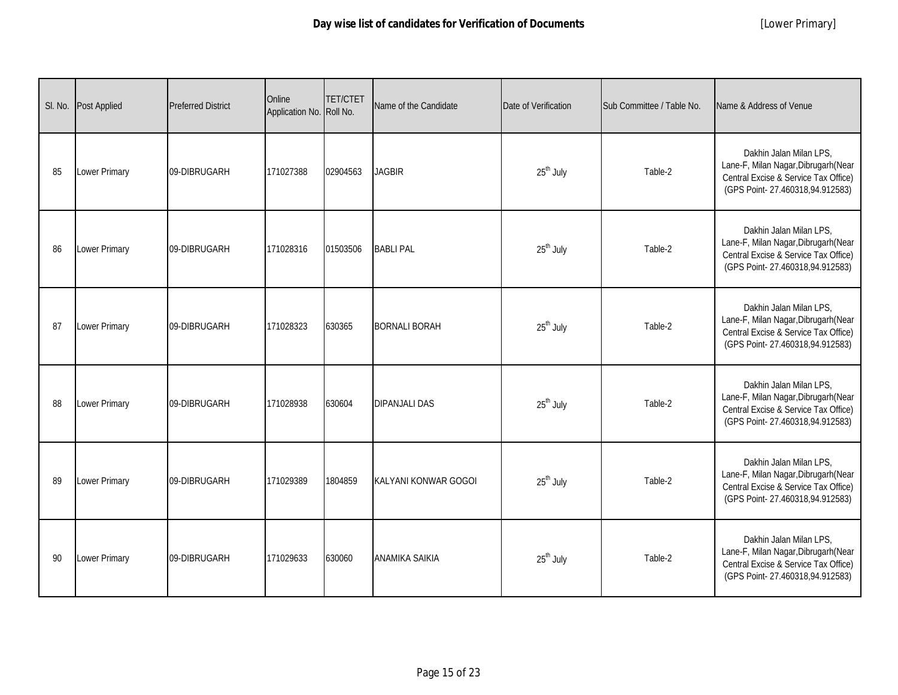| SI. No. | <b>Post Applied</b> | <b>Preferred District</b> | Online<br>Application No. Roll No. | <b>TET/CTET</b> | Name of the Candidate | Date of Verification  | Sub Committee / Table No. | Name & Address of Venue                                                                                                                    |
|---------|---------------------|---------------------------|------------------------------------|-----------------|-----------------------|-----------------------|---------------------------|--------------------------------------------------------------------------------------------------------------------------------------------|
| 85      | Lower Primary       | 09-DIBRUGARH              | 171027388                          | 02904563        | <b>JAGBIR</b>         | 25 <sup>th</sup> July | Table-2                   | Dakhin Jalan Milan LPS,<br>Lane-F, Milan Nagar, Dibrugarh (Near<br>Central Excise & Service Tax Office)<br>(GPS Point-27.460318,94.912583) |
| 86      | Lower Primary       | 09-DIBRUGARH              | 171028316                          | 01503506        | <b>BABLI PAL</b>      | 25 <sup>th</sup> July | Table-2                   | Dakhin Jalan Milan LPS,<br>Lane-F, Milan Nagar, Dibrugarh (Near<br>Central Excise & Service Tax Office)<br>(GPS Point-27.460318,94.912583) |
| 87      | Lower Primary       | 09-DIBRUGARH              | 171028323                          | 630365          | <b>BORNALI BORAH</b>  | 25 <sup>th</sup> July | Table-2                   | Dakhin Jalan Milan LPS,<br>Lane-F, Milan Nagar, Dibrugarh (Near<br>Central Excise & Service Tax Office)<br>(GPS Point-27.460318,94.912583) |
| 88      | Lower Primary       | 09-DIBRUGARH              | 171028938                          | 630604          | <b>DIPANJALI DAS</b>  | 25 <sup>th</sup> July | Table-2                   | Dakhin Jalan Milan LPS,<br>Lane-F, Milan Nagar, Dibrugarh (Near<br>Central Excise & Service Tax Office)<br>(GPS Point-27.460318,94.912583) |
| 89      | Lower Primary       | 09-DIBRUGARH              | 171029389                          | 1804859         | KALYANI KONWAR GOGOI  | $25th$ July           | Table-2                   | Dakhin Jalan Milan LPS,<br>Lane-F, Milan Nagar, Dibrugarh (Near<br>Central Excise & Service Tax Office)<br>(GPS Point-27.460318,94.912583) |
| 90      | Lower Primary       | 09-DIBRUGARH              | 171029633                          | 630060          | <b>ANAMIKA SAIKIA</b> | 25 <sup>th</sup> July | Table-2                   | Dakhin Jalan Milan LPS,<br>Lane-F, Milan Nagar, Dibrugarh (Near<br>Central Excise & Service Tax Office)<br>(GPS Point-27.460318,94.912583) |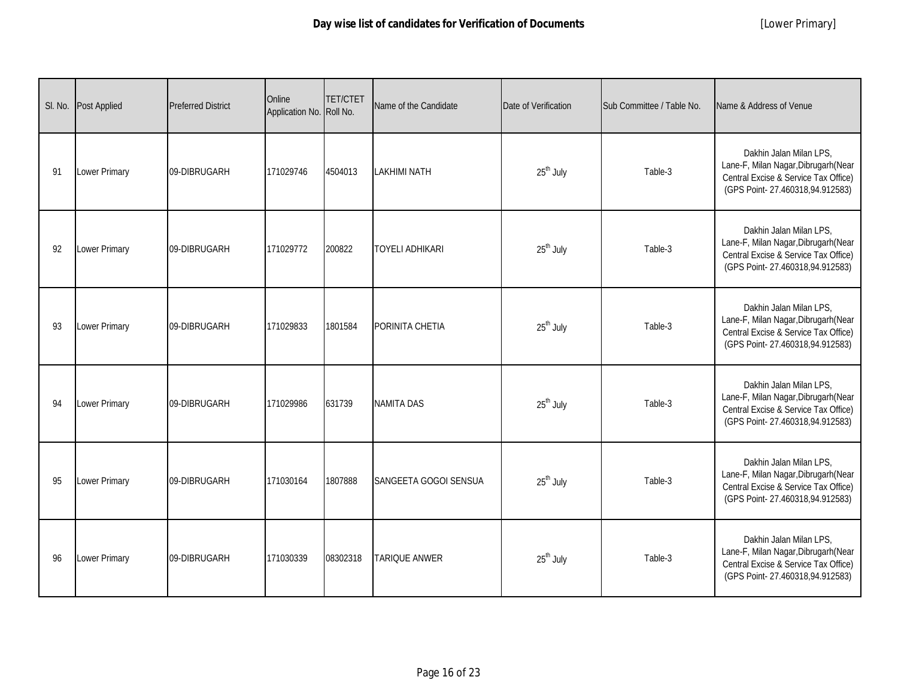| SI. No. | Post Applied         | <b>Preferred District</b> | Online<br>Application No. Roll No. | <b>TET/CTET</b> | Name of the Candidate  | Date of Verification  | Sub Committee / Table No. | Name & Address of Venue                                                                                                                    |
|---------|----------------------|---------------------------|------------------------------------|-----------------|------------------------|-----------------------|---------------------------|--------------------------------------------------------------------------------------------------------------------------------------------|
| 91      | Lower Primary        | 09-DIBRUGARH              | 171029746                          | 4504013         | <b>LAKHIMI NATH</b>    | 25 <sup>th</sup> July | Table-3                   | Dakhin Jalan Milan LPS.<br>Lane-F, Milan Nagar, Dibrugarh (Near<br>Central Excise & Service Tax Office)<br>(GPS Point-27.460318,94.912583) |
| 92      | Lower Primary        | 09-DIBRUGARH              | 171029772                          | 200822          | <b>TOYELI ADHIKARI</b> | 25 <sup>th</sup> July | Table-3                   | Dakhin Jalan Milan LPS,<br>Lane-F, Milan Nagar, Dibrugarh (Near<br>Central Excise & Service Tax Office)<br>(GPS Point-27.460318,94.912583) |
| 93      | <b>Lower Primary</b> | 09-DIBRUGARH              | 171029833                          | 1801584         | PORINITA CHETIA        | 25 <sup>th</sup> July | Table-3                   | Dakhin Jalan Milan LPS,<br>Lane-F, Milan Nagar, Dibrugarh (Near<br>Central Excise & Service Tax Office)<br>(GPS Point-27.460318,94.912583) |
| 94      | Lower Primary        | 09-DIBRUGARH              | 171029986                          | 631739          | <b>NAMITA DAS</b>      | 25 <sup>th</sup> July | Table-3                   | Dakhin Jalan Milan LPS,<br>Lane-F, Milan Nagar, Dibrugarh (Near<br>Central Excise & Service Tax Office)<br>(GPS Point-27.460318,94.912583) |
| 95      | Lower Primary        | 09-DIBRUGARH              | 171030164                          | 1807888         | SANGEETA GOGOI SENSUA  | 25 <sup>th</sup> July | Table-3                   | Dakhin Jalan Milan LPS,<br>Lane-F, Milan Nagar, Dibrugarh (Near<br>Central Excise & Service Tax Office)<br>(GPS Point-27.460318,94.912583) |
| 96      | Lower Primary        | 09-DIBRUGARH              | 171030339                          | 08302318        | <b>TARIQUE ANWER</b>   | 25 <sup>th</sup> July | Table-3                   | Dakhin Jalan Milan LPS,<br>Lane-F, Milan Nagar, Dibrugarh (Near<br>Central Excise & Service Tax Office)<br>(GPS Point-27.460318,94.912583) |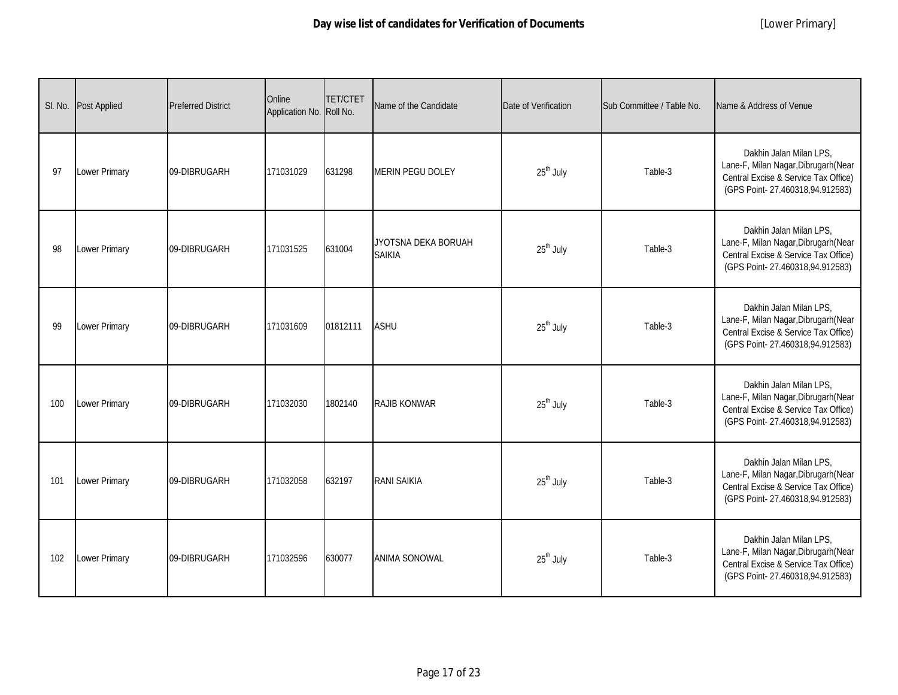| SI. No. | <b>Post Applied</b> | <b>Preferred District</b> | Online<br>Application No. Roll No. | <b>TET/CTET</b> | Name of the Candidate                | Date of Verification  | Sub Committee / Table No. | Name & Address of Venue                                                                                                                    |
|---------|---------------------|---------------------------|------------------------------------|-----------------|--------------------------------------|-----------------------|---------------------------|--------------------------------------------------------------------------------------------------------------------------------------------|
| 97      | Lower Primary       | 09-DIBRUGARH              | 171031029                          | 631298          | <b>MERIN PEGU DOLEY</b>              | 25 <sup>th</sup> July | Table-3                   | Dakhin Jalan Milan LPS.<br>Lane-F, Milan Nagar, Dibrugarh (Near<br>Central Excise & Service Tax Office)<br>(GPS Point-27.460318,94.912583) |
| 98      | Lower Primary       | 09-DIBRUGARH              | 171031525                          | 631004          | JYOTSNA DEKA BORUAH<br><b>SAIKIA</b> | 25 <sup>th</sup> July | Table-3                   | Dakhin Jalan Milan LPS,<br>Lane-F, Milan Nagar, Dibrugarh (Near<br>Central Excise & Service Tax Office)<br>(GPS Point-27.460318,94.912583) |
| 99      | Lower Primary       | 09-DIBRUGARH              | 171031609                          | 01812111        | <b>ASHU</b>                          | 25 <sup>th</sup> July | Table-3                   | Dakhin Jalan Milan LPS,<br>Lane-F, Milan Nagar, Dibrugarh (Near<br>Central Excise & Service Tax Office)<br>(GPS Point-27.460318,94.912583) |
| 100     | Lower Primary       | 09-DIBRUGARH              | 171032030                          | 1802140         | <b>RAJIB KONWAR</b>                  | 25 <sup>th</sup> July | Table-3                   | Dakhin Jalan Milan LPS,<br>Lane-F, Milan Nagar, Dibrugarh (Near<br>Central Excise & Service Tax Office)<br>(GPS Point-27.460318,94.912583) |
| 101     | Lower Primary       | 09-DIBRUGARH              | 171032058                          | 632197          | <b>RANI SAIKIA</b>                   | 25 <sup>th</sup> July | Table-3                   | Dakhin Jalan Milan LPS,<br>Lane-F, Milan Nagar, Dibrugarh (Near<br>Central Excise & Service Tax Office)<br>(GPS Point-27.460318,94.912583) |
| 102     | Lower Primary       | 09-DIBRUGARH              | 171032596                          | 630077          | <b>ANIMA SONOWAL</b>                 | 25 <sup>th</sup> July | Table-3                   | Dakhin Jalan Milan LPS,<br>Lane-F, Milan Nagar, Dibrugarh (Near<br>Central Excise & Service Tax Office)<br>(GPS Point-27.460318,94.912583) |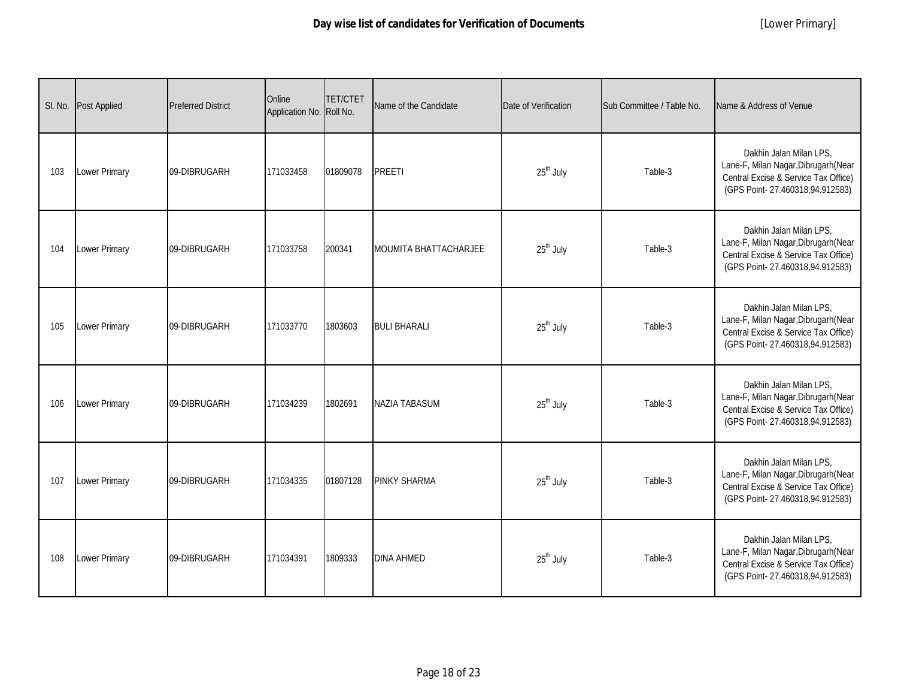|     | SI. No. Post Applied | <b>Preferred District</b> | Online<br>Application No. Roll No. | <b>TET/CTET</b> | Name of the Candidate        | Date of Verification  | Sub Committee / Table No. | Name & Address of Venue                                                                                                                    |
|-----|----------------------|---------------------------|------------------------------------|-----------------|------------------------------|-----------------------|---------------------------|--------------------------------------------------------------------------------------------------------------------------------------------|
| 103 | Lower Primary        | 09-DIBRUGARH              | 171033458                          | 01809078        | <b>PREETI</b>                | 25 <sup>th</sup> July | Table-3                   | Dakhin Jalan Milan LPS,<br>Lane-F, Milan Nagar, Dibrugarh (Near<br>Central Excise & Service Tax Office)<br>(GPS Point-27.460318,94.912583) |
| 104 | Lower Primary        | 09-DIBRUGARH              | 171033758                          | 200341          | <b>MOUMITA BHATTACHARJEE</b> | 25 <sup>th</sup> July | Table-3                   | Dakhin Jalan Milan LPS,<br>Lane-F, Milan Nagar, Dibrugarh (Near<br>Central Excise & Service Tax Office)<br>(GPS Point-27.460318,94.912583) |
| 105 | <b>Lower Primary</b> | 09-DIBRUGARH              | 171033770                          | 1803603         | <b>BULI BHARALI</b>          | 25 <sup>th</sup> July | Table-3                   | Dakhin Jalan Milan LPS,<br>Lane-F, Milan Nagar, Dibrugarh (Near<br>Central Excise & Service Tax Office)<br>(GPS Point-27.460318,94.912583) |
| 106 | Lower Primary        | 09-DIBRUGARH              | 171034239                          | 1802691         | <b>NAZIA TABASUM</b>         | 25 <sup>th</sup> July | Table-3                   | Dakhin Jalan Milan LPS,<br>Lane-F, Milan Nagar, Dibrugarh (Near<br>Central Excise & Service Tax Office)<br>(GPS Point-27.460318,94.912583) |
| 107 | Lower Primary        | 09-DIBRUGARH              | 171034335                          | 01807128        | <b>PINKY SHARMA</b>          | 25 <sup>th</sup> July | Table-3                   | Dakhin Jalan Milan LPS,<br>Lane-F, Milan Nagar, Dibrugarh (Near<br>Central Excise & Service Tax Office)<br>(GPS Point-27.460318,94.912583) |
| 108 | Lower Primary        | 09-DIBRUGARH              | 171034391                          | 1809333         | <b>DINA AHMED</b>            | 25 <sup>th</sup> July | Table-3                   | Dakhin Jalan Milan LPS,<br>Lane-F, Milan Nagar, Dibrugarh (Near<br>Central Excise & Service Tax Office)<br>(GPS Point-27.460318,94.912583) |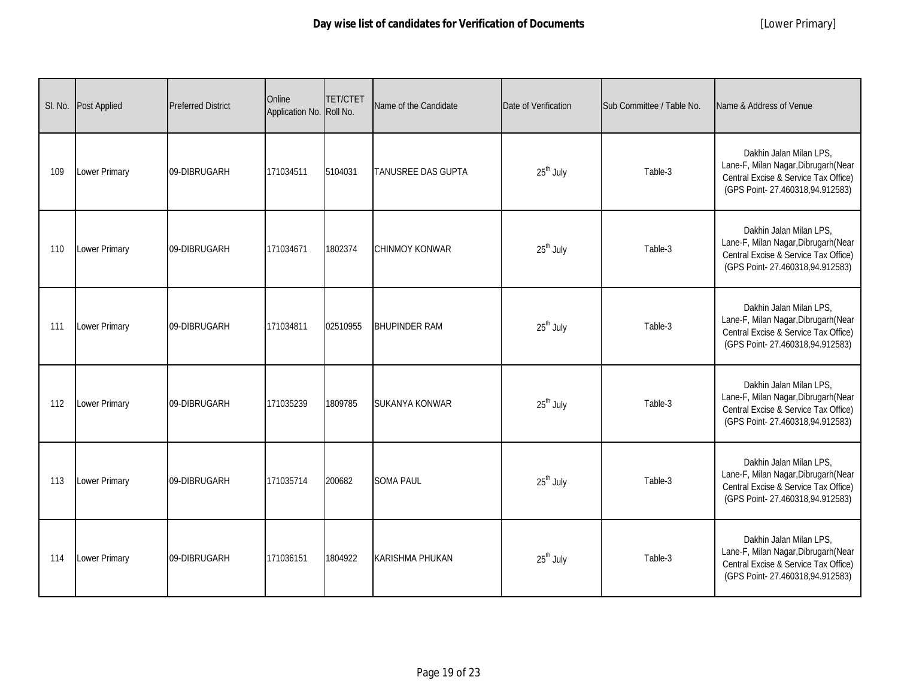| SI. No. | Post Applied         | <b>Preferred District</b> | Online<br>Application No. Roll No. | <b>TET/CTET</b> | Name of the Candidate     | Date of Verification  | Sub Committee / Table No. | Name & Address of Venue                                                                                                                    |
|---------|----------------------|---------------------------|------------------------------------|-----------------|---------------------------|-----------------------|---------------------------|--------------------------------------------------------------------------------------------------------------------------------------------|
| 109     | Lower Primary        | 09-DIBRUGARH              | 171034511                          | 5104031         | <b>TANUSREE DAS GUPTA</b> | 25 <sup>th</sup> July | Table-3                   | Dakhin Jalan Milan LPS.<br>Lane-F, Milan Nagar, Dibrugarh (Near<br>Central Excise & Service Tax Office)<br>(GPS Point-27.460318,94.912583) |
| 110     | Lower Primary        | 09-DIBRUGARH              | 171034671                          | 1802374         | <b>CHINMOY KONWAR</b>     | 25 <sup>th</sup> July | Table-3                   | Dakhin Jalan Milan LPS,<br>Lane-F, Milan Nagar, Dibrugarh (Near<br>Central Excise & Service Tax Office)<br>(GPS Point-27.460318,94.912583) |
| 111     | <b>Lower Primary</b> | 09-DIBRUGARH              | 171034811                          | 02510955        | <b>BHUPINDER RAM</b>      | 25 <sup>th</sup> July | Table-3                   | Dakhin Jalan Milan LPS,<br>Lane-F, Milan Nagar, Dibrugarh (Near<br>Central Excise & Service Tax Office)<br>(GPS Point-27.460318,94.912583) |
| 112     | Lower Primary        | 09-DIBRUGARH              | 171035239                          | 1809785         | SUKANYA KONWAR            | 25 <sup>th</sup> July | Table-3                   | Dakhin Jalan Milan LPS,<br>Lane-F, Milan Nagar, Dibrugarh (Near<br>Central Excise & Service Tax Office)<br>(GPS Point-27.460318,94.912583) |
| 113     | Lower Primary        | 09-DIBRUGARH              | 171035714                          | 200682          | <b>SOMA PAUL</b>          | 25 <sup>th</sup> July | Table-3                   | Dakhin Jalan Milan LPS,<br>Lane-F, Milan Nagar, Dibrugarh (Near<br>Central Excise & Service Tax Office)<br>(GPS Point-27.460318,94.912583) |
| 114     | Lower Primary        | 09-DIBRUGARH              | 171036151                          | 1804922         | <b>KARISHMA PHUKAN</b>    | 25 <sup>th</sup> July | Table-3                   | Dakhin Jalan Milan LPS,<br>Lane-F, Milan Nagar, Dibrugarh (Near<br>Central Excise & Service Tax Office)<br>(GPS Point-27.460318,94.912583) |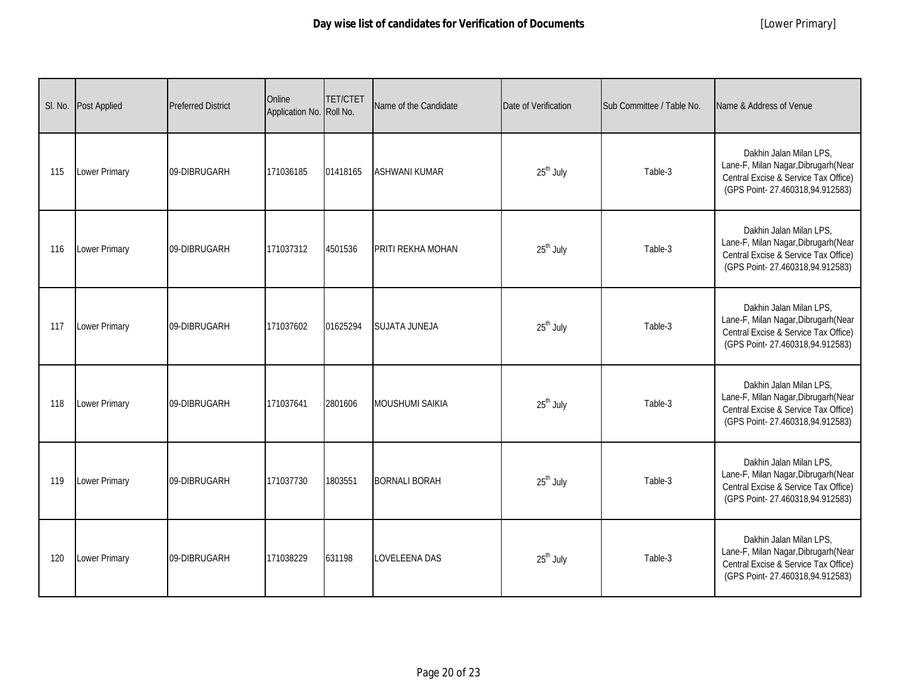| SI. No. | <b>Post Applied</b>  | <b>Preferred District</b> | Online<br>Application No. Roll No. | <b>TET/CTET</b> | Name of the Candidate  | Date of Verification  | Sub Committee / Table No. | Name & Address of Venue                                                                                                                    |
|---------|----------------------|---------------------------|------------------------------------|-----------------|------------------------|-----------------------|---------------------------|--------------------------------------------------------------------------------------------------------------------------------------------|
| 115     | Lower Primary        | 09-DIBRUGARH              | 171036185                          | 01418165        | <b>ASHWANI KUMAR</b>   | 25 <sup>th</sup> July | Table-3                   | Dakhin Jalan Milan LPS.<br>Lane-F, Milan Nagar, Dibrugarh (Near<br>Central Excise & Service Tax Office)<br>(GPS Point-27.460318,94.912583) |
| 116     | Lower Primary        | 09-DIBRUGARH              | 171037312                          | 4501536         | PRITI REKHA MOHAN      | 25 <sup>th</sup> July | Table-3                   | Dakhin Jalan Milan LPS,<br>Lane-F, Milan Nagar, Dibrugarh (Near<br>Central Excise & Service Tax Office)<br>(GPS Point-27.460318,94.912583) |
| 117     | <b>Lower Primary</b> | 09-DIBRUGARH              | 171037602                          | 01625294        | <b>SUJATA JUNEJA</b>   | 25 <sup>th</sup> July | Table-3                   | Dakhin Jalan Milan LPS,<br>Lane-F, Milan Nagar, Dibrugarh (Near<br>Central Excise & Service Tax Office)<br>(GPS Point-27.460318,94.912583) |
| 118     | Lower Primary        | 09-DIBRUGARH              | 171037641                          | 2801606         | <b>MOUSHUMI SAIKIA</b> | 25 <sup>th</sup> July | Table-3                   | Dakhin Jalan Milan LPS,<br>Lane-F, Milan Nagar, Dibrugarh (Near<br>Central Excise & Service Tax Office)<br>(GPS Point-27.460318,94.912583) |
| 119     | Lower Primary        | 09-DIBRUGARH              | 171037730                          | 1803551         | <b>BORNALI BORAH</b>   | 25 <sup>th</sup> July | Table-3                   | Dakhin Jalan Milan LPS,<br>Lane-F, Milan Nagar, Dibrugarh (Near<br>Central Excise & Service Tax Office)<br>(GPS Point-27.460318,94.912583) |
| 120     | Lower Primary        | 09-DIBRUGARH              | 171038229                          | 631198          | <b>LOVELEENA DAS</b>   | 25 <sup>th</sup> July | Table-3                   | Dakhin Jalan Milan LPS,<br>Lane-F, Milan Nagar, Dibrugarh (Near<br>Central Excise & Service Tax Office)<br>(GPS Point-27.460318,94.912583) |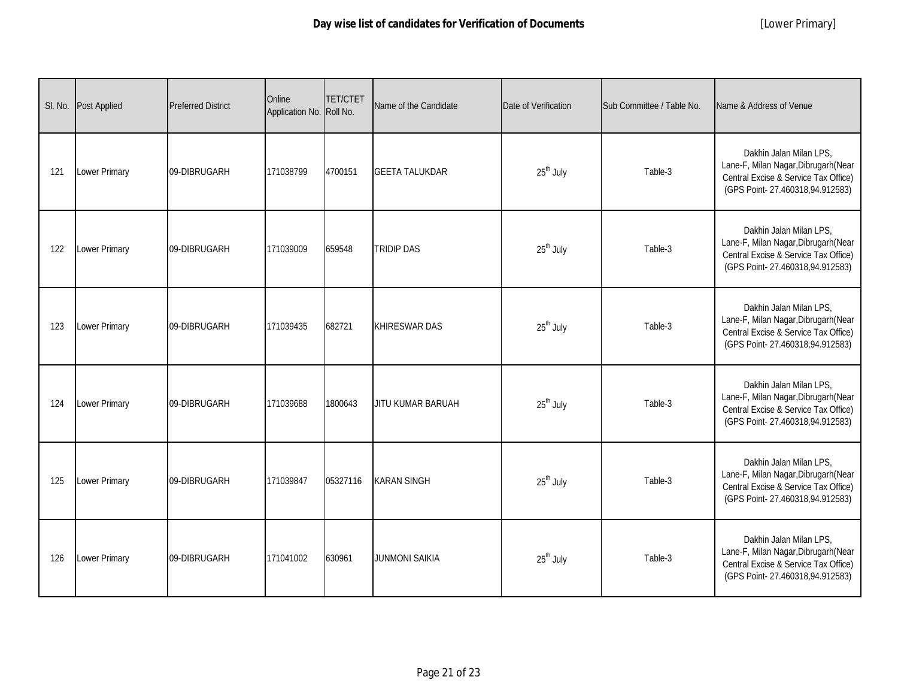| SI. No. | <b>Post Applied</b>  | <b>Preferred District</b> | Online<br>Application No. Roll No. | <b>TET/CTET</b> | Name of the Candidate | Date of Verification  | Sub Committee / Table No. | Name & Address of Venue                                                                                                                    |
|---------|----------------------|---------------------------|------------------------------------|-----------------|-----------------------|-----------------------|---------------------------|--------------------------------------------------------------------------------------------------------------------------------------------|
| 121     | Lower Primary        | 09-DIBRUGARH              | 171038799                          | 4700151         | <b>GEETA TALUKDAR</b> | 25 <sup>th</sup> July | Table-3                   | Dakhin Jalan Milan LPS.<br>Lane-F, Milan Nagar, Dibrugarh (Near<br>Central Excise & Service Tax Office)<br>(GPS Point-27.460318,94.912583) |
| 122     | Lower Primary        | 09-DIBRUGARH              | 171039009                          | 659548          | <b>TRIDIP DAS</b>     | 25 <sup>th</sup> July | Table-3                   | Dakhin Jalan Milan LPS,<br>Lane-F, Milan Nagar, Dibrugarh (Near<br>Central Excise & Service Tax Office)<br>(GPS Point-27.460318,94.912583) |
| 123     | <b>Lower Primary</b> | 09-DIBRUGARH              | 171039435                          | 682721          | <b>KHIRESWAR DAS</b>  | 25 <sup>th</sup> July | Table-3                   | Dakhin Jalan Milan LPS,<br>Lane-F, Milan Nagar, Dibrugarh (Near<br>Central Excise & Service Tax Office)<br>(GPS Point-27.460318,94.912583) |
| 124     | Lower Primary        | 09-DIBRUGARH              | 171039688                          | 1800643         | JITU KUMAR BARUAH     | 25 <sup>th</sup> July | Table-3                   | Dakhin Jalan Milan LPS,<br>Lane-F, Milan Nagar, Dibrugarh (Near<br>Central Excise & Service Tax Office)<br>(GPS Point-27.460318,94.912583) |
| 125     | Lower Primary        | 09-DIBRUGARH              | 171039847                          | 05327116        | <b>KARAN SINGH</b>    | 25 <sup>th</sup> July | Table-3                   | Dakhin Jalan Milan LPS,<br>Lane-F, Milan Nagar, Dibrugarh (Near<br>Central Excise & Service Tax Office)<br>(GPS Point-27.460318,94.912583) |
| 126     | Lower Primary        | 09-DIBRUGARH              | 171041002                          | 630961          | <b>JUNMONI SAIKIA</b> | $25th$ July           | Table-3                   | Dakhin Jalan Milan LPS,<br>Lane-F, Milan Nagar, Dibrugarh (Near<br>Central Excise & Service Tax Office)<br>(GPS Point-27.460318,94.912583) |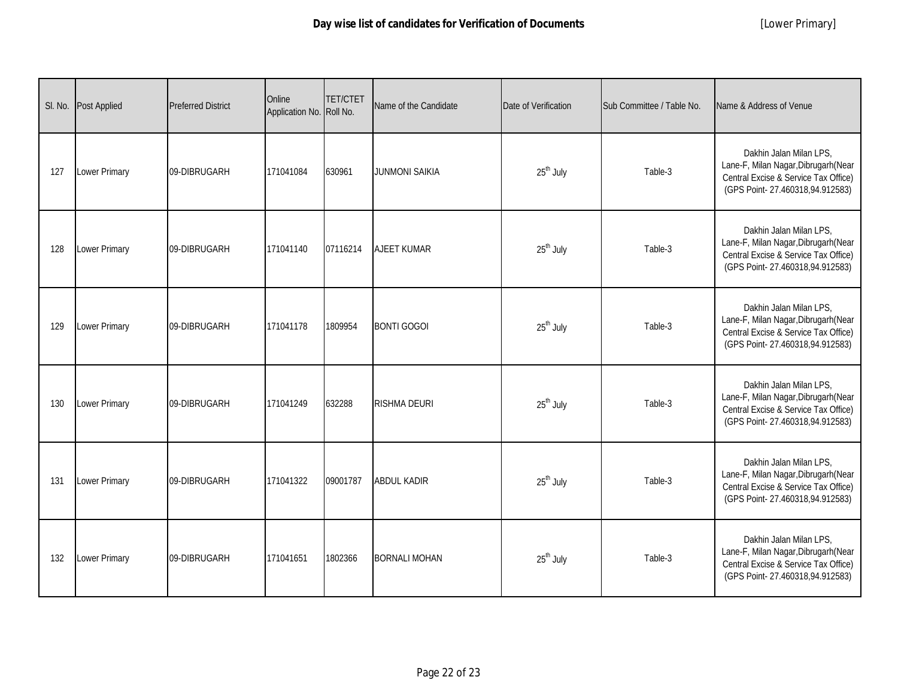|     | SI. No. Post Applied | <b>Preferred District</b> | Online<br>Application No. Roll No. | <b>TET/CTET</b> | Name of the Candidate | Date of Verification  | Sub Committee / Table No. | Name & Address of Venue                                                                                                                    |
|-----|----------------------|---------------------------|------------------------------------|-----------------|-----------------------|-----------------------|---------------------------|--------------------------------------------------------------------------------------------------------------------------------------------|
| 127 | Lower Primary        | 09-DIBRUGARH              | 171041084                          | 630961          | <b>JUNMONI SAIKIA</b> | 25 <sup>th</sup> July | Table-3                   | Dakhin Jalan Milan LPS,<br>Lane-F, Milan Nagar, Dibrugarh (Near<br>Central Excise & Service Tax Office)<br>(GPS Point-27.460318,94.912583) |
| 128 | Lower Primary        | 09-DIBRUGARH              | 171041140                          | 07116214        | <b>AJEET KUMAR</b>    | 25 <sup>th</sup> July | Table-3                   | Dakhin Jalan Milan LPS,<br>Lane-F, Milan Nagar, Dibrugarh (Near<br>Central Excise & Service Tax Office)<br>(GPS Point-27.460318,94.912583) |
| 129 | Lower Primary        | 09-DIBRUGARH              | 171041178                          | 1809954         | <b>BONTI GOGOI</b>    | 25 <sup>th</sup> July | Table-3                   | Dakhin Jalan Milan LPS,<br>Lane-F, Milan Nagar, Dibrugarh (Near<br>Central Excise & Service Tax Office)<br>(GPS Point-27.460318,94.912583) |
| 130 | Lower Primary        | 09-DIBRUGARH              | 171041249                          | 632288          | <b>RISHMA DEURI</b>   | 25 <sup>th</sup> July | Table-3                   | Dakhin Jalan Milan LPS,<br>Lane-F, Milan Nagar, Dibrugarh (Near<br>Central Excise & Service Tax Office)<br>(GPS Point-27.460318,94.912583) |
| 131 | Lower Primary        | 09-DIBRUGARH              | 171041322                          | 09001787        | <b>ABDUL KADIR</b>    | 25 <sup>th</sup> July | Table-3                   | Dakhin Jalan Milan LPS,<br>Lane-F, Milan Nagar, Dibrugarh (Near<br>Central Excise & Service Tax Office)<br>(GPS Point-27.460318,94.912583) |
| 132 | Lower Primary        | 09-DIBRUGARH              | 171041651                          | 1802366         | <b>BORNALI MOHAN</b>  | 25 <sup>th</sup> July | Table-3                   | Dakhin Jalan Milan LPS,<br>Lane-F, Milan Nagar, Dibrugarh (Near<br>Central Excise & Service Tax Office)<br>(GPS Point-27.460318,94.912583) |